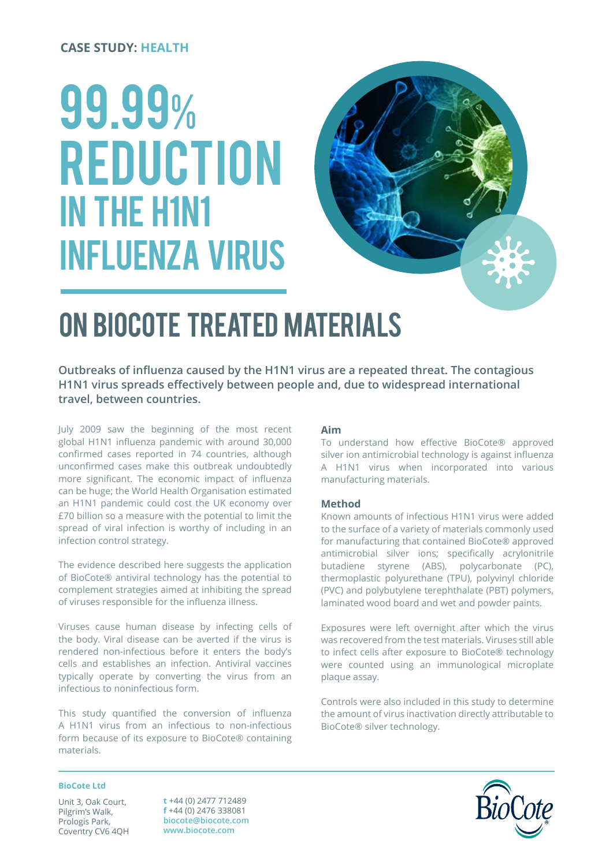#### **CASE STUDY: HEALTH**

# 99.99% **REDUCTION** IN THE H1N1 influenza virus



# ON BIOCOTE TREATED MATERIALS

**Outbreaks of influenza caused by the H1N1 virus are a repeated threat. The contagious H1N1 virus spreads effectively between people and, due to widespread international travel, between countries.**

July 2009 saw the beginning of the most recent global H1N1 influenza pandemic with around 30,000 confirmed cases reported in 74 countries, although unconfirmed cases make this outbreak undoubtedly more significant. The economic impact of influenza can be huge; the World Health Organisation estimated an H1N1 pandemic could cost the UK economy over £70 billion so a measure with the potential to limit the spread of viral infection is worthy of including in an infection control strategy.

The evidence described here suggests the application of BioCote® antiviral technology has the potential to complement strategies aimed at inhibiting the spread of viruses responsible for the influenza illness.

Viruses cause human disease by infecting cells of the body. Viral disease can be averted if the virus is rendered non-infectious before it enters the body's cells and establishes an infection. Antiviral vaccines typically operate by converting the virus from an infectious to noninfectious form.

This study quantified the conversion of influenza A H1N1 virus from an infectious to non-infectious form because of its exposure to BioCote® containing materials.

#### **Aim**

To understand how effective BioCote® approved silver ion antimicrobial technology is against influenza A H1N1 virus when incorporated into various manufacturing materials.

#### **Method**

Known amounts of infectious H1N1 virus were added to the surface of a variety of materials commonly used for manufacturing that contained BioCote® approved antimicrobial silver ions; specifically acrylonitrile butadiene styrene (ABS), polycarbonate (PC), thermoplastic polyurethane (TPU), polyvinyl chloride (PVC) and polybutylene terephthalate (PBT) polymers, laminated wood board and wet and powder paints.

Exposures were left overnight after which the virus was recovered from the test materials. Viruses still able to infect cells after exposure to BioCote® technology were counted using an immunological microplate plaque assay.

Controls were also included in this study to determine the amount of virus inactivation directly attributable to BioCote® silver technology.

#### **BioCote Ltd**

Unit 3, Oak Court, Pilgrim's Walk, Prologis Park, Coventry CV6 4QH **t** +44 (0) 2477 712489 **f** +44 (0) 2476 338081 **biocote@biocote.com www.biocote.com**